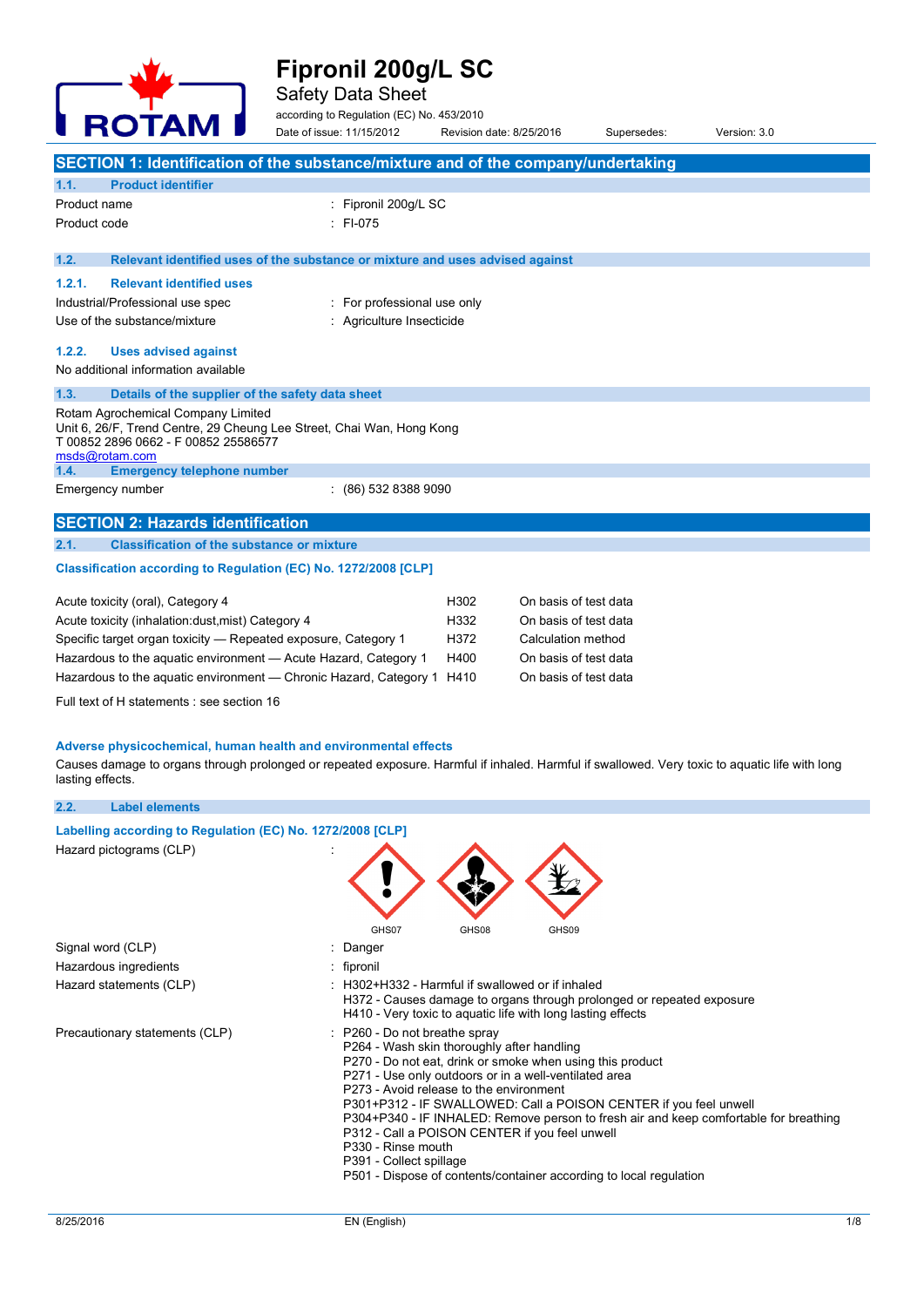

Safety Data Sheet

according to Regulation (EC) No. 453/2010

| <b>NVIAM</b>                                                                                                                                                       | Date of issue: 11/15/2012                                                     | Revision date: 8/25/2016 |                       | Supersedes: | Version: 3.0 |  |
|--------------------------------------------------------------------------------------------------------------------------------------------------------------------|-------------------------------------------------------------------------------|--------------------------|-----------------------|-------------|--------------|--|
| SECTION 1: Identification of the substance/mixture and of the company/undertaking                                                                                  |                                                                               |                          |                       |             |              |  |
| 1.1.<br><b>Product identifier</b>                                                                                                                                  |                                                                               |                          |                       |             |              |  |
| Product name                                                                                                                                                       | : Fipronil 200g/L SC                                                          |                          |                       |             |              |  |
| Product code                                                                                                                                                       | $:$ FI-075                                                                    |                          |                       |             |              |  |
|                                                                                                                                                                    |                                                                               |                          |                       |             |              |  |
| 1.2.                                                                                                                                                               | Relevant identified uses of the substance or mixture and uses advised against |                          |                       |             |              |  |
| 1.2.1.<br><b>Relevant identified uses</b>                                                                                                                          |                                                                               |                          |                       |             |              |  |
| Industrial/Professional use spec                                                                                                                                   | : For professional use only                                                   |                          |                       |             |              |  |
| Use of the substance/mixture                                                                                                                                       | : Agriculture Insecticide                                                     |                          |                       |             |              |  |
| 1.2.2.<br><b>Uses advised against</b>                                                                                                                              |                                                                               |                          |                       |             |              |  |
| No additional information available                                                                                                                                |                                                                               |                          |                       |             |              |  |
|                                                                                                                                                                    |                                                                               |                          |                       |             |              |  |
| 1.3.<br>Details of the supplier of the safety data sheet                                                                                                           |                                                                               |                          |                       |             |              |  |
| Rotam Agrochemical Company Limited<br>Unit 6, 26/F, Trend Centre, 29 Cheung Lee Street, Chai Wan, Hong Kong                                                        |                                                                               |                          |                       |             |              |  |
| T 00852 2896 0662 - F 00852 25586577                                                                                                                               |                                                                               |                          |                       |             |              |  |
| msds@rotam.com<br>1.4.<br><b>Emergency telephone number</b>                                                                                                        |                                                                               |                          |                       |             |              |  |
| Emergency number                                                                                                                                                   | $(86)$ 532 8388 9090                                                          |                          |                       |             |              |  |
|                                                                                                                                                                    |                                                                               |                          |                       |             |              |  |
| <b>SECTION 2: Hazards identification</b>                                                                                                                           |                                                                               |                          |                       |             |              |  |
| 2.1.<br><b>Classification of the substance or mixture</b>                                                                                                          |                                                                               |                          |                       |             |              |  |
| Classification according to Regulation (EC) No. 1272/2008 [CLP]                                                                                                    |                                                                               |                          |                       |             |              |  |
| Acute toxicity (oral), Category 4                                                                                                                                  |                                                                               | H302                     | On basis of test data |             |              |  |
| Acute toxicity (inhalation: dust, mist) Category 4                                                                                                                 |                                                                               | H332                     | On basis of test data |             |              |  |
| Specific target organ toxicity - Repeated exposure, Category 1                                                                                                     |                                                                               | H372                     | Calculation method    |             |              |  |
| Hazardous to the aquatic environment - Acute Hazard, Category 1                                                                                                    |                                                                               | H400                     | On basis of test data |             |              |  |
| Hazardous to the aquatic environment — Chronic Hazard, Category 1                                                                                                  |                                                                               | H410                     | On basis of test data |             |              |  |
| Full text of H statements : see section 16                                                                                                                         |                                                                               |                          |                       |             |              |  |
|                                                                                                                                                                    |                                                                               |                          |                       |             |              |  |
| Adverse physicochemical, human health and environmental effects                                                                                                    |                                                                               |                          |                       |             |              |  |
| Causes damage to organs through prolonged or repeated exposure. Harmful if inhaled. Harmful if swallowed. Very toxic to aquatic life with long<br>lasting effects. |                                                                               |                          |                       |             |              |  |
| 2.2.<br><b>Label elements</b>                                                                                                                                      |                                                                               |                          |                       |             |              |  |
| Labelling according to Regulation (EC) No. 1272/2008 [CLP]                                                                                                         |                                                                               |                          |                       |             |              |  |
| Hazard pictograms (CLP)                                                                                                                                            |                                                                               |                          |                       |             |              |  |
|                                                                                                                                                                    | GHS07                                                                         | GHS08                    | GHS09                 |             |              |  |
| Signal word (CLP)                                                                                                                                                  | : Danger                                                                      |                          |                       |             |              |  |

- Hazardous ingredients **interest in the set of the set of the set of the set of the set of the set of the set of the set of the set of the set of the set of the set of the set of the set of the set of the set of the set of**
- Hazard statements (CLP) : H302+H332 Harmful if swallowed or if inhaled
	- H372 Causes damage to organs through prolonged or repeated exposure H410 - Very toxic to aquatic life with long lasting effects
- Precautionary statements (CLP) : P260 Do not breathe spray
	- P264 Wash skin thoroughly after handling
	- P270 Do not eat, drink or smoke when using this product
	- P271 Use only outdoors or in a well-ventilated area
	- P273 Avoid release to the environment
	- P301+P312 IF SWALLOWED: Call a POISON CENTER if you feel unwell
	- P304+P340 IF INHALED: Remove person to fresh air and keep comfortable for breathing
	- P312 Call a POISON CENTER if you feel unwell
	- P330 Rinse mouth
	- P391 Collect spillage
	- P501 Dispose of contents/container according to local regulation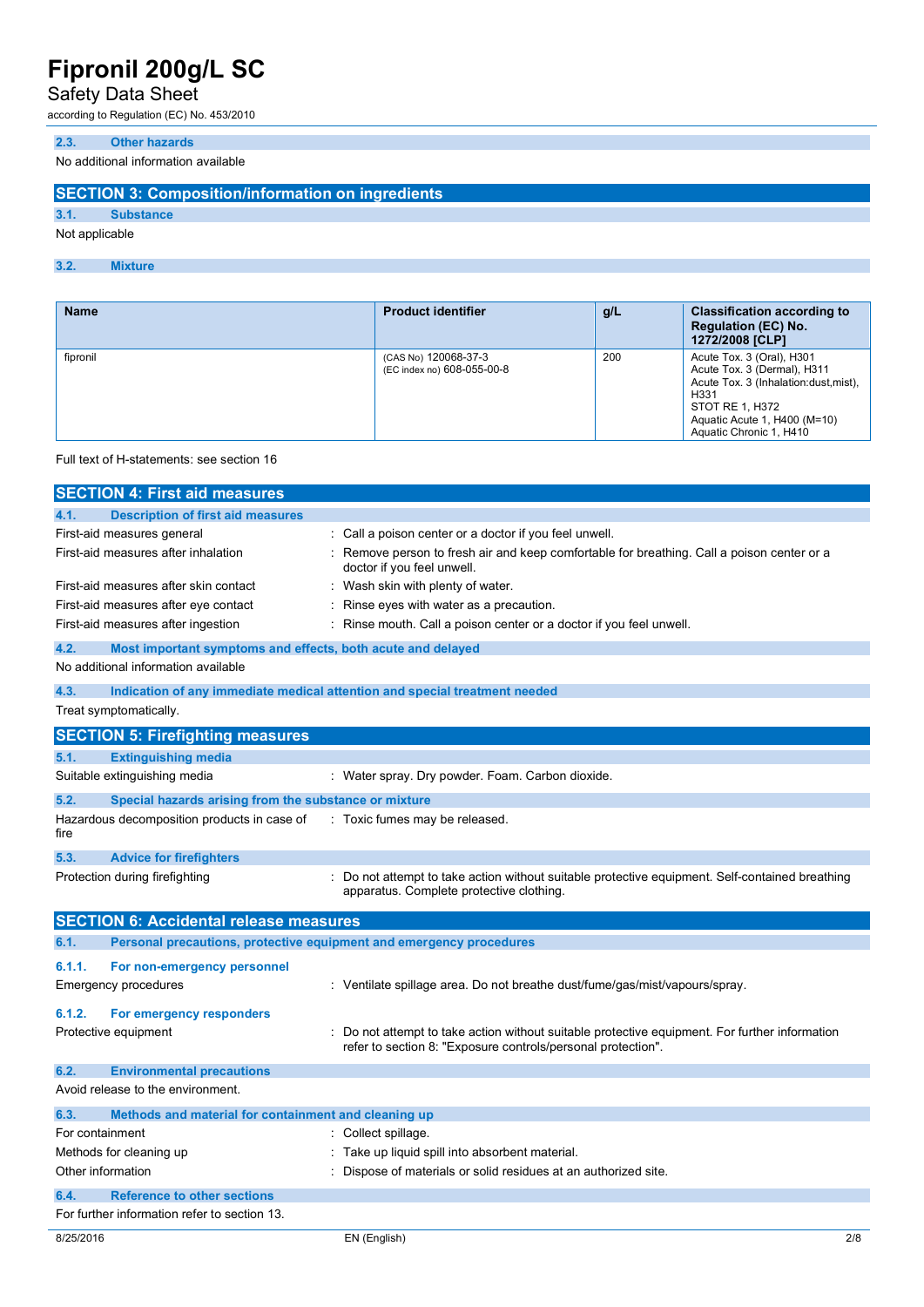## Safety Data Sheet

according to Regulation (EC) No. 453/2010

#### **2.3. Other hazards**

No additional information available

## **SECTION 3: Composition/information on ingredients**

**3.1. Substance**

## Not applicable

**3.2. Mixture**

| <b>Name</b> | <b>Product identifier</b>                          | q/L | <b>Classification according to</b><br><b>Regulation (EC) No.</b><br>1272/2008 [CLP]                                                                                                      |
|-------------|----------------------------------------------------|-----|------------------------------------------------------------------------------------------------------------------------------------------------------------------------------------------|
| fipronil    | (CAS No) 120068-37-3<br>(EC index no) 608-055-00-8 | 200 | Acute Tox. 3 (Oral), H301<br>Acute Tox. 3 (Dermal), H311<br>Acute Tox. 3 (Inhalation: dust, mist),<br>H331<br>STOT RE 1, H372<br>Aquatic Acute 1, H400 (M=10)<br>Aquatic Chronic 1, H410 |

#### Full text of H-statements: see section 16

|                   | <b>SECTION 4: First aid measures</b>                                |                                                                                                                                             |     |
|-------------------|---------------------------------------------------------------------|---------------------------------------------------------------------------------------------------------------------------------------------|-----|
| 4.1.              | <b>Description of first aid measures</b>                            |                                                                                                                                             |     |
|                   | First-aid measures general                                          | Call a poison center or a doctor if you feel unwell.                                                                                        |     |
|                   | First-aid measures after inhalation                                 | Remove person to fresh air and keep comfortable for breathing. Call a poison center or a<br>doctor if you feel unwell.                      |     |
|                   | First-aid measures after skin contact                               | Wash skin with plenty of water.                                                                                                             |     |
|                   | First-aid measures after eye contact                                | Rinse eyes with water as a precaution.                                                                                                      |     |
|                   | First-aid measures after ingestion                                  | Rinse mouth. Call a poison center or a doctor if you feel unwell.                                                                           |     |
| 4.2.              | Most important symptoms and effects, both acute and delayed         |                                                                                                                                             |     |
|                   | No additional information available                                 |                                                                                                                                             |     |
| 4.3.              |                                                                     | Indication of any immediate medical attention and special treatment needed                                                                  |     |
|                   | Treat symptomatically.                                              |                                                                                                                                             |     |
|                   | <b>SECTION 5: Firefighting measures</b>                             |                                                                                                                                             |     |
| 5.1.              | <b>Extinguishing media</b>                                          |                                                                                                                                             |     |
|                   | Suitable extinguishing media                                        | : Water spray. Dry powder. Foam. Carbon dioxide.                                                                                            |     |
| 5.2.              | Special hazards arising from the substance or mixture               |                                                                                                                                             |     |
| fire              | Hazardous decomposition products in case of                         | Toxic fumes may be released.                                                                                                                |     |
| 5.3.              | <b>Advice for firefighters</b>                                      |                                                                                                                                             |     |
|                   | Protection during firefighting                                      | : Do not attempt to take action without suitable protective equipment. Self-contained breathing<br>apparatus. Complete protective clothing. |     |
|                   | <b>SECTION 6: Accidental release measures</b>                       |                                                                                                                                             |     |
| 6.1.              | Personal precautions, protective equipment and emergency procedures |                                                                                                                                             |     |
| 6.1.1.            | For non-emergency personnel                                         |                                                                                                                                             |     |
|                   | <b>Emergency procedures</b>                                         | : Ventilate spillage area. Do not breathe dust/fume/gas/mist/vapours/spray.                                                                 |     |
| 6.1.2.            | For emergency responders                                            |                                                                                                                                             |     |
|                   | Protective equipment                                                | Do not attempt to take action without suitable protective equipment. For further information                                                |     |
|                   |                                                                     | refer to section 8: "Exposure controls/personal protection".                                                                                |     |
| 6.2.              | <b>Environmental precautions</b>                                    |                                                                                                                                             |     |
|                   | Avoid release to the environment.                                   |                                                                                                                                             |     |
| 6.3.              | Methods and material for containment and cleaning up                |                                                                                                                                             |     |
| For containment   |                                                                     | : Collect spillage.                                                                                                                         |     |
|                   | Methods for cleaning up                                             | Take up liquid spill into absorbent material.                                                                                               |     |
| Other information |                                                                     | Dispose of materials or solid residues at an authorized site.                                                                               |     |
| 6.4.              | <b>Reference to other sections</b>                                  |                                                                                                                                             |     |
|                   | For further information refer to section 13.                        |                                                                                                                                             |     |
| 8/25/2016         |                                                                     | EN (English)                                                                                                                                | 2/8 |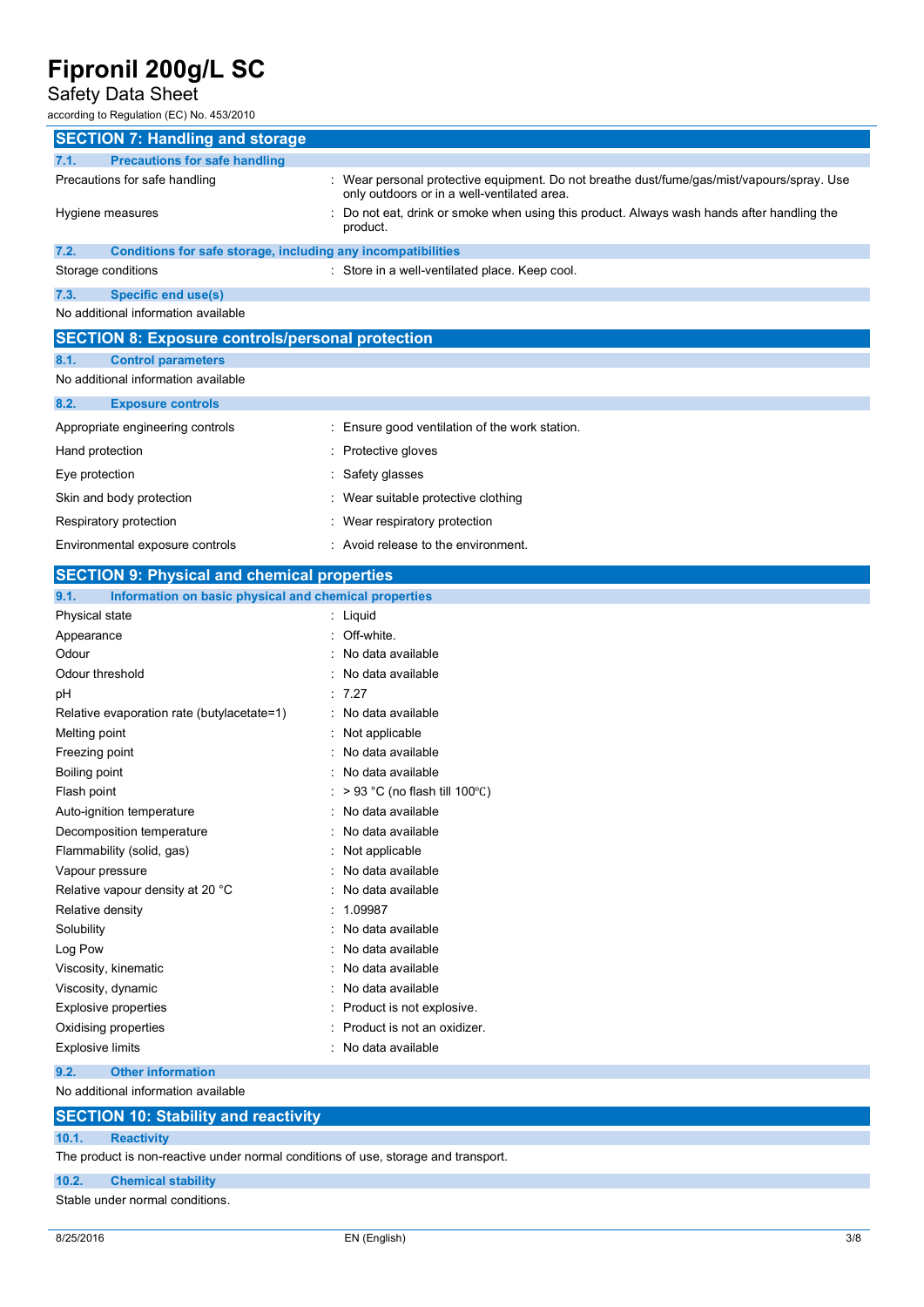# Safety Data Sheet<br>according to Regulation (EC) No.

-<br>a to Regulation (EC) No. 453/2010

| according to Regulation (EC) No. 453/2010                               |                                                                                                                                           |
|-------------------------------------------------------------------------|-------------------------------------------------------------------------------------------------------------------------------------------|
| <b>SECTION 7: Handling and storage</b>                                  |                                                                                                                                           |
| <b>Precautions for safe handling</b><br>7.1.                            |                                                                                                                                           |
| Precautions for safe handling                                           | : Wear personal protective equipment. Do not breathe dust/fume/gas/mist/vapours/spray. Use<br>only outdoors or in a well-ventilated area. |
| Hygiene measures                                                        | Do not eat, drink or smoke when using this product. Always wash hands after handling the<br>product.                                      |
| 7.2.<br>Conditions for safe storage, including any incompatibilities    |                                                                                                                                           |
| Storage conditions                                                      | Store in a well-ventilated place. Keep cool.                                                                                              |
| 7.3.<br><b>Specific end use(s)</b>                                      |                                                                                                                                           |
| No additional information available                                     |                                                                                                                                           |
| <b>SECTION 8: Exposure controls/personal protection</b>                 |                                                                                                                                           |
| 8.1.<br><b>Control parameters</b>                                       |                                                                                                                                           |
| No additional information available                                     |                                                                                                                                           |
| 8.2.<br><b>Exposure controls</b>                                        |                                                                                                                                           |
| Appropriate engineering controls                                        | : Ensure good ventilation of the work station.                                                                                            |
| Hand protection                                                         | Protective gloves                                                                                                                         |
| Eye protection                                                          | Safety glasses                                                                                                                            |
| Skin and body protection                                                | Wear suitable protective clothing                                                                                                         |
| Respiratory protection                                                  | Wear respiratory protection                                                                                                               |
| Environmental exposure controls                                         | Avoid release to the environment.                                                                                                         |
| <b>SECTION 9: Physical and chemical properties</b>                      |                                                                                                                                           |
| 9.1.                                                                    |                                                                                                                                           |
| Information on basic physical and chemical properties<br>Physical state | : Liquid                                                                                                                                  |
| Appearance                                                              | Off-white.                                                                                                                                |
| Odour                                                                   | No data available                                                                                                                         |
| Odour threshold                                                         | No data available                                                                                                                         |
| рH                                                                      | 7.27                                                                                                                                      |
| Relative evaporation rate (butylacetate=1)                              | No data available                                                                                                                         |
| Melting point                                                           | Not applicable                                                                                                                            |
| Freezing point                                                          | No data available                                                                                                                         |
| Boiling point                                                           | No data available                                                                                                                         |
| Flash point                                                             | $> 93$ °C (no flash till 100°C)                                                                                                           |
| Auto-ignition temperature                                               | No data available                                                                                                                         |
| Decomposition temperature                                               | No data available                                                                                                                         |
| Flammability (solid, gas)                                               | Not applicable                                                                                                                            |
| Vapour pressure                                                         | No data available                                                                                                                         |
| Relative vapour density at 20 °C                                        | No data available                                                                                                                         |
| $D$ olothia donoitu                                                     | 1.0002                                                                                                                                    |

| Relative density            | : 1.09987                     |
|-----------------------------|-------------------------------|
| Solubility                  | : No data available           |
| Log Pow                     | : No data available           |
| Viscosity, kinematic        | : No data available           |
| Viscosity, dynamic          | : No data available           |
| <b>Explosive properties</b> | : Product is not explosive.   |
| Oxidising properties        | : Product is not an oxidizer. |
| <b>Explosive limits</b>     | : No data available           |

### **9.2. Other information**

No additional information available

## **SECTION 10: Stability and reactivity**

### **10.1. Reactivity**

The product is non-reactive under normal conditions of use, storage and transport.

#### **10.2. Chemical stability**

Stable under normal conditions.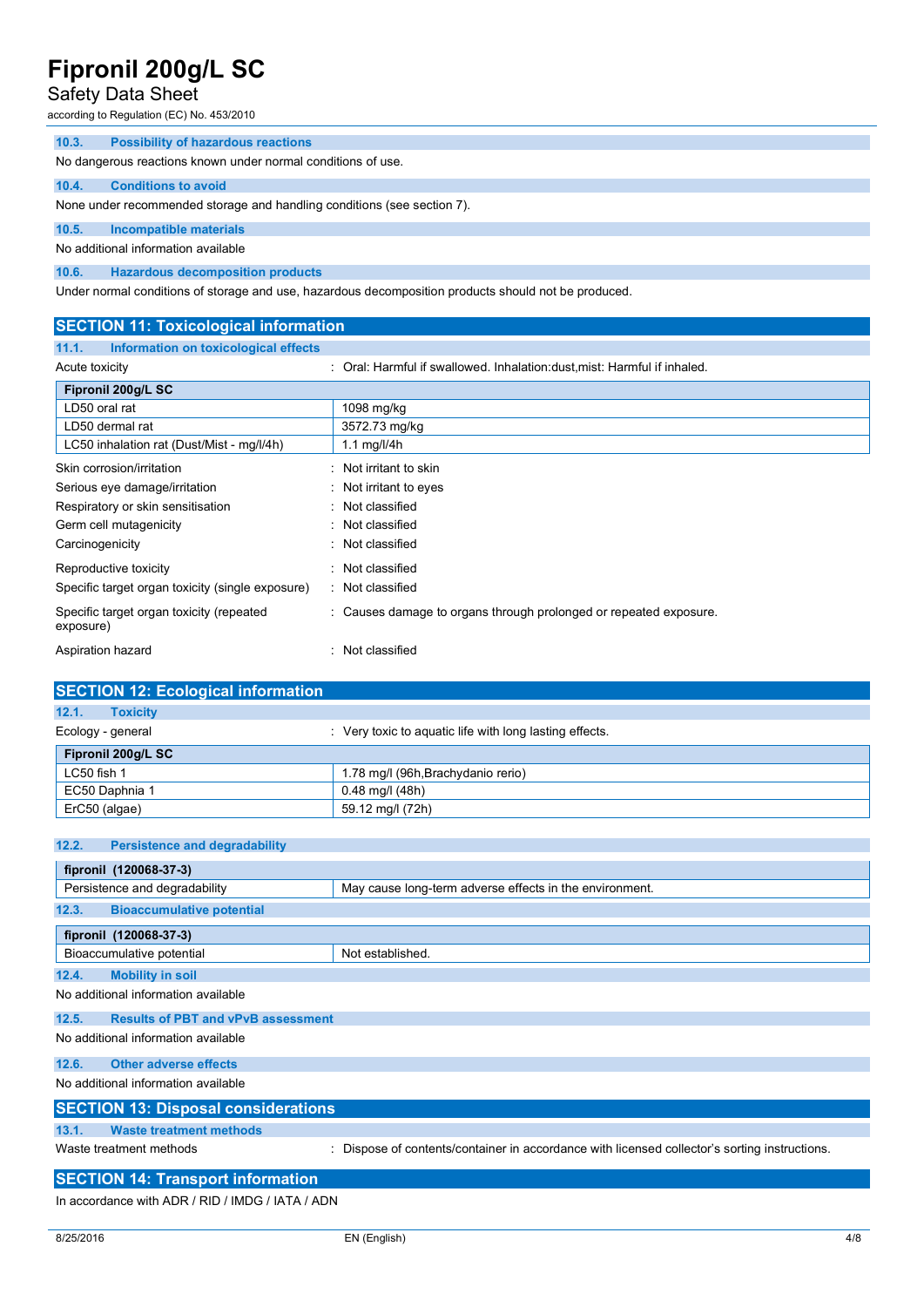## Safety Data Sheet

according to Regulation (EC) No. 453/2010

| 10.3. | <b>Possibility of hazardous reactions</b> |  |
|-------|-------------------------------------------|--|

No dangerous reactions known under normal conditions of use.

#### **10.4. Conditions to avoid**

None under recommended storage and handling conditions (see section 7).

### **10.5. Incompatible materials**

No additional information available

**10.6. Hazardous decomposition products**

Under normal conditions of storage and use, hazardous decomposition products should not be produced.

| <b>SECTION 11: Toxicological information</b>          |                                                                           |
|-------------------------------------------------------|---------------------------------------------------------------------------|
| Information on toxicological effects<br>11.1.         |                                                                           |
| Acute toxicity                                        | : Oral: Harmful if swallowed. Inhalation: dust, mist: Harmful if inhaled. |
| Fipronil 200g/L SC                                    |                                                                           |
| LD50 oral rat                                         | 1098 mg/kg                                                                |
| LD50 dermal rat                                       | 3572.73 mg/kg                                                             |
| LC50 inhalation rat (Dust/Mist - mg/l/4h)             | 1.1 $mg/l/4h$                                                             |
| Skin corrosion/irritation                             | : Not irritant to skin                                                    |
| Serious eye damage/irritation                         | $\therefore$ Not irritant to eyes                                         |
| Respiratory or skin sensitisation                     | : Not classified                                                          |
| Germ cell mutagenicity                                | : Not classified                                                          |
| Carcinogenicity                                       | : Not classified                                                          |
| Reproductive toxicity                                 | : Not classified                                                          |
| Specific target organ toxicity (single exposure)      | : Not classified                                                          |
| Specific target organ toxicity (repeated<br>exposure) | : Causes damage to organs through prolonged or repeated exposure.         |
| Aspiration hazard                                     | : Not classified                                                          |

| <b>SECTION 12: Ecological information</b> |                                                         |
|-------------------------------------------|---------------------------------------------------------|
| 12.1.<br><b>Toxicity</b>                  |                                                         |
| Ecology - general                         | : Very toxic to aquatic life with long lasting effects. |
| Fipronil 200g/L SC                        |                                                         |
| LC50 fish 1                               | 1.78 mg/l (96h, Brachydanio rerio)                      |
| EC50 Daphnia 1                            | $0.48$ mg/l (48h)                                       |
| ErC50 (algae)                             | 59.12 mg/l (72h)                                        |

### **12.2. Persistence and degradability**

|       | fipronil (120068-37-3)                     |                                                                                             |
|-------|--------------------------------------------|---------------------------------------------------------------------------------------------|
|       | Persistence and degradability              | May cause long-term adverse effects in the environment.                                     |
| 12.3. | <b>Bioaccumulative potential</b>           |                                                                                             |
|       | fipronil (120068-37-3)                     |                                                                                             |
|       | Bioaccumulative potential                  | Not established.                                                                            |
| 12.4. | <b>Mobility in soil</b>                    |                                                                                             |
|       | No additional information available        |                                                                                             |
| 12.5. | <b>Results of PBT and vPvB assessment</b>  |                                                                                             |
|       | No additional information available        |                                                                                             |
| 12.6. | <b>Other adverse effects</b>               |                                                                                             |
|       | No additional information available        |                                                                                             |
|       | <b>SECTION 13: Disposal considerations</b> |                                                                                             |
| 13.1. | <b>Waste treatment methods</b>             |                                                                                             |
|       | Waste treatment methods                    | Dispose of contents/container in accordance with licensed collector's sorting instructions. |

### **SECTION 14: Transport information**

In accordance with ADR / RID / IMDG / IATA / ADN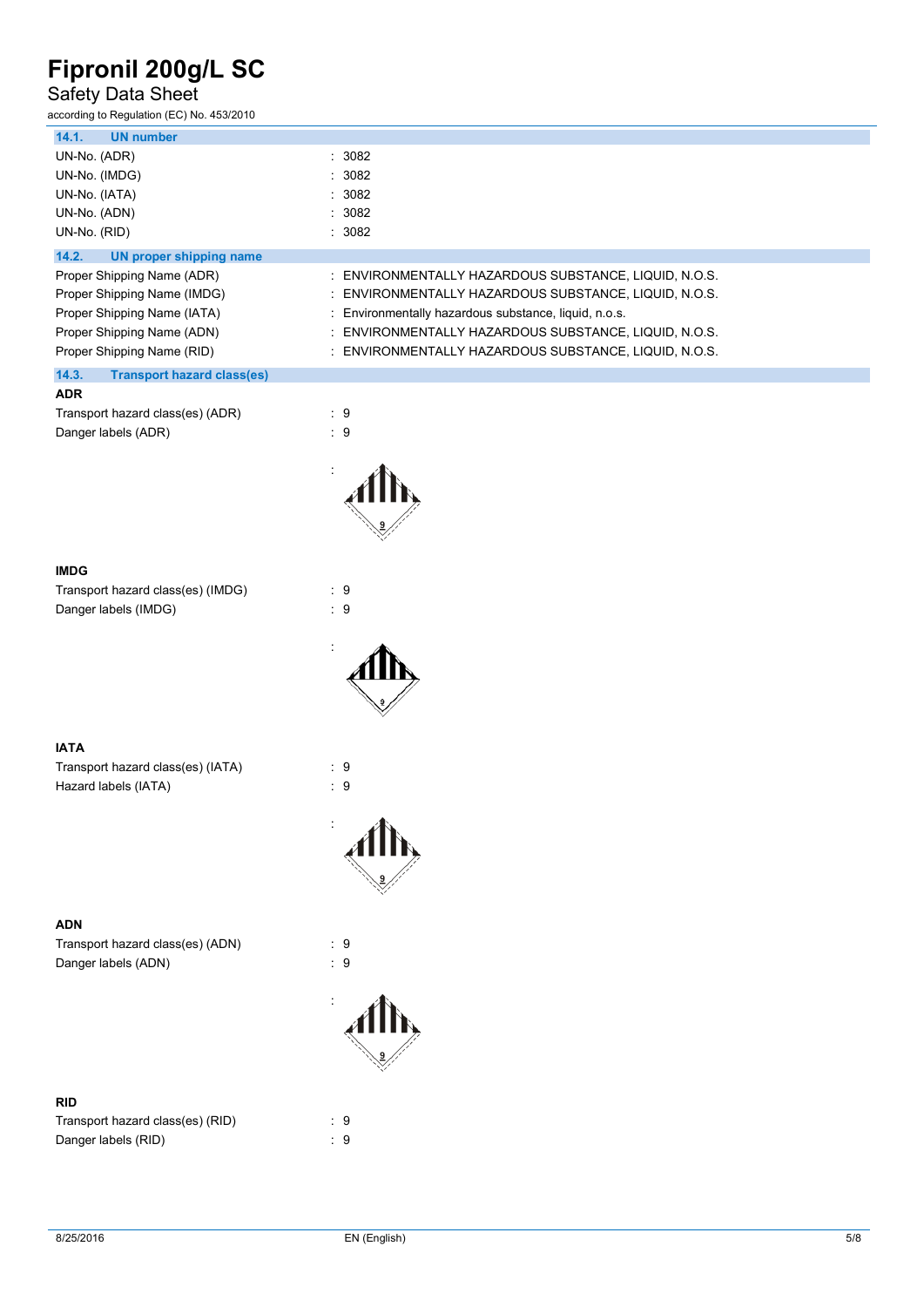## Safety Data Sheet

| according to Regulation (EC) No. 453/2010               |                                                          |
|---------------------------------------------------------|----------------------------------------------------------|
| 14.1.<br><b>UN number</b>                               |                                                          |
| UN-No. (ADR)                                            | : 3082                                                   |
| UN-No. (IMDG)                                           | : 3082                                                   |
| UN-No. (IATA)                                           | : 3082                                                   |
| UN-No. (ADN)                                            | : 3082                                                   |
| UN-No. (RID)                                            | : 3082                                                   |
| 14.2.<br><b>UN proper shipping name</b>                 |                                                          |
| Proper Shipping Name (ADR)                              | : ENVIRONMENTALLY HAZARDOUS SUBSTANCE, LIQUID, N.O.S.    |
| Proper Shipping Name (IMDG)                             | ENVIRONMENTALLY HAZARDOUS SUBSTANCE, LIQUID, N.O.S.      |
| Proper Shipping Name (IATA)                             | : Environmentally hazardous substance, liquid, n.o.s.    |
| Proper Shipping Name (ADN)                              | ENVIRONMENTALLY HAZARDOUS SUBSTANCE, LIQUID, N.O.S.<br>t |
| Proper Shipping Name (RID)                              | : ENVIRONMENTALLY HAZARDOUS SUBSTANCE, LIQUID, N.O.S.    |
| 14.3.<br><b>Transport hazard class(es)</b>              |                                                          |
| <b>ADR</b>                                              |                                                          |
| Transport hazard class(es) (ADR)                        | $\cdot$ 9                                                |
| Danger labels (ADR)                                     | $\therefore$ 9                                           |
|                                                         |                                                          |
|                                                         |                                                          |
|                                                         |                                                          |
|                                                         |                                                          |
|                                                         |                                                          |
|                                                         |                                                          |
| <b>IMDG</b>                                             |                                                          |
| Transport hazard class(es) (IMDG)                       | $\cdot$ 9                                                |
| Danger labels (IMDG)                                    | $\therefore$ 9                                           |
|                                                         |                                                          |
|                                                         |                                                          |
|                                                         |                                                          |
|                                                         |                                                          |
|                                                         |                                                          |
|                                                         |                                                          |
| <b>IATA</b>                                             |                                                          |
| Transport hazard class(es) (IATA)                       | $\cdot$ 9                                                |
| Hazard labels (IATA)                                    | $\therefore$ 9                                           |
|                                                         |                                                          |
|                                                         |                                                          |
|                                                         |                                                          |
|                                                         |                                                          |
|                                                         |                                                          |
|                                                         |                                                          |
| <b>ADN</b>                                              | $\therefore$ 9                                           |
| Transport hazard class(es) (ADN)<br>Danger labels (ADN) | $\cdot$ 9                                                |
|                                                         |                                                          |
|                                                         |                                                          |
|                                                         |                                                          |
|                                                         |                                                          |
|                                                         |                                                          |
|                                                         |                                                          |
| <b>RID</b>                                              |                                                          |
| Transport hazard class(es) (RID)                        | $\cdot$ 9                                                |
| Danger labels (RID)                                     | $\therefore$ 9                                           |
|                                                         |                                                          |
|                                                         |                                                          |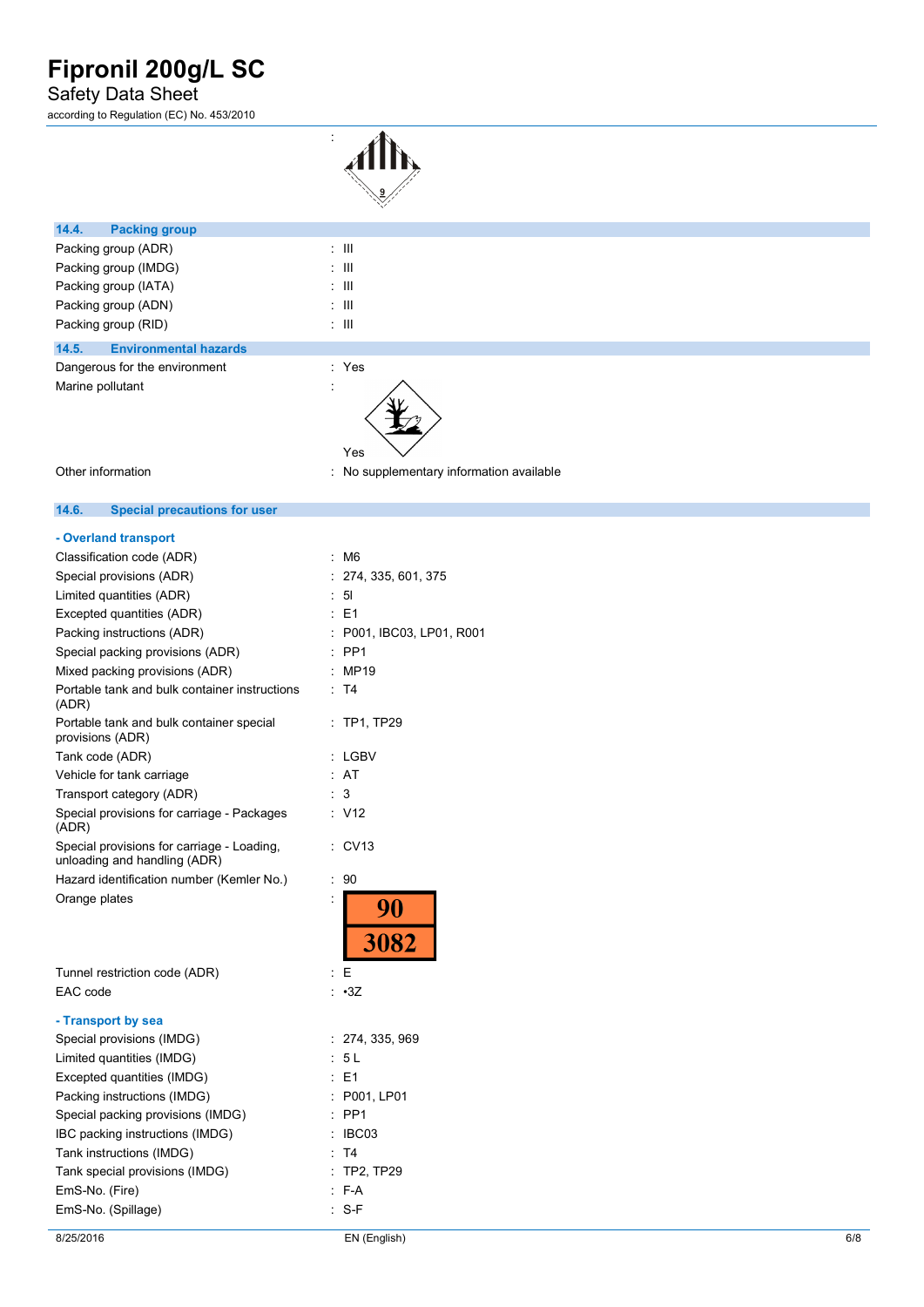## Safety Data Sheet

according to Regulation (EC) No. 453/2010



| 14.4.<br><b>Packing group</b>         |                                  |
|---------------------------------------|----------------------------------|
| Packing group (ADR)                   | $\pm$ 111                        |
| Packing group (IMDG)                  | $\pm$ 111                        |
| Packing group (IATA)                  | $\pm$ 111                        |
| Packing group (ADN)                   | $\pm$ 111                        |
| Packing group (RID)                   | $\pm$ 111                        |
| <b>Environmental hazards</b><br>14.5. |                                  |
| Dangerous for the environment         | : Yes                            |
| Marine pollutant                      | ٠<br>$\ddot{\phantom{0}}$<br>Yes |

Other information **contains the contract of the contract of the contract of the contract of the contract of the contract of the contract of the contract of the contract of the contract of the contract of the contract of th** 

#### $14.6.$ **14.6. Special precautions for user**

### **- Overland transport**

| Classification code (ADR)                                                  | M6                      |
|----------------------------------------------------------------------------|-------------------------|
| Special provisions (ADR)                                                   | 274, 335, 601, 375      |
| Limited quantities (ADR)                                                   | 51                      |
| Excepted quantities (ADR)                                                  | E1                      |
| Packing instructions (ADR)                                                 | P001, IBC03, LP01, R001 |
| Special packing provisions (ADR)                                           | PP <sub>1</sub>         |
| Mixed packing provisions (ADR)                                             | MP19                    |
| Portable tank and bulk container instructions<br>(ADR)                     | T4                      |
| Portable tank and bulk container special<br>provisions (ADR)               | <b>TP1, TP29</b>        |
| Tank code (ADR)                                                            | LGBV                    |
| Vehicle for tank carriage                                                  | AT                      |
| Transport category (ADR)                                                   | 3                       |
| Special provisions for carriage - Packages<br>(ADR)                        | : V12                   |
| Special provisions for carriage - Loading,<br>unloading and handling (ADR) | CV13                    |
| Hazard identification number (Kemler No.)                                  | 90<br>İ.                |
| Orange plates                                                              | 90<br>3082              |
| Tunnel restriction code (ADR)                                              | E                       |
| EAC code                                                                   | : 3Z                    |
| - Transport by sea                                                         |                         |
| Special provisions (IMDG)                                                  | : 274, 335, 969         |
| Limited quantities (IMDG)                                                  | - 5 L                   |
| Excepted quantities (IMDG)                                                 | E1                      |
| Packing instructions (IMDG)                                                | P001, LP01              |
| Special packing provisions (IMDG)                                          | PP <sub>1</sub>         |
| IBC packing instructions (IMDG)                                            | IBC03                   |
| Tank instructions (IMDG)                                                   | T4                      |
| Tank special provisions (IMDG)                                             | <b>TP2, TP29</b>        |
| EmS-No. (Fire)                                                             | F-A                     |

EmS-No. (Spillage) in the set of the S-F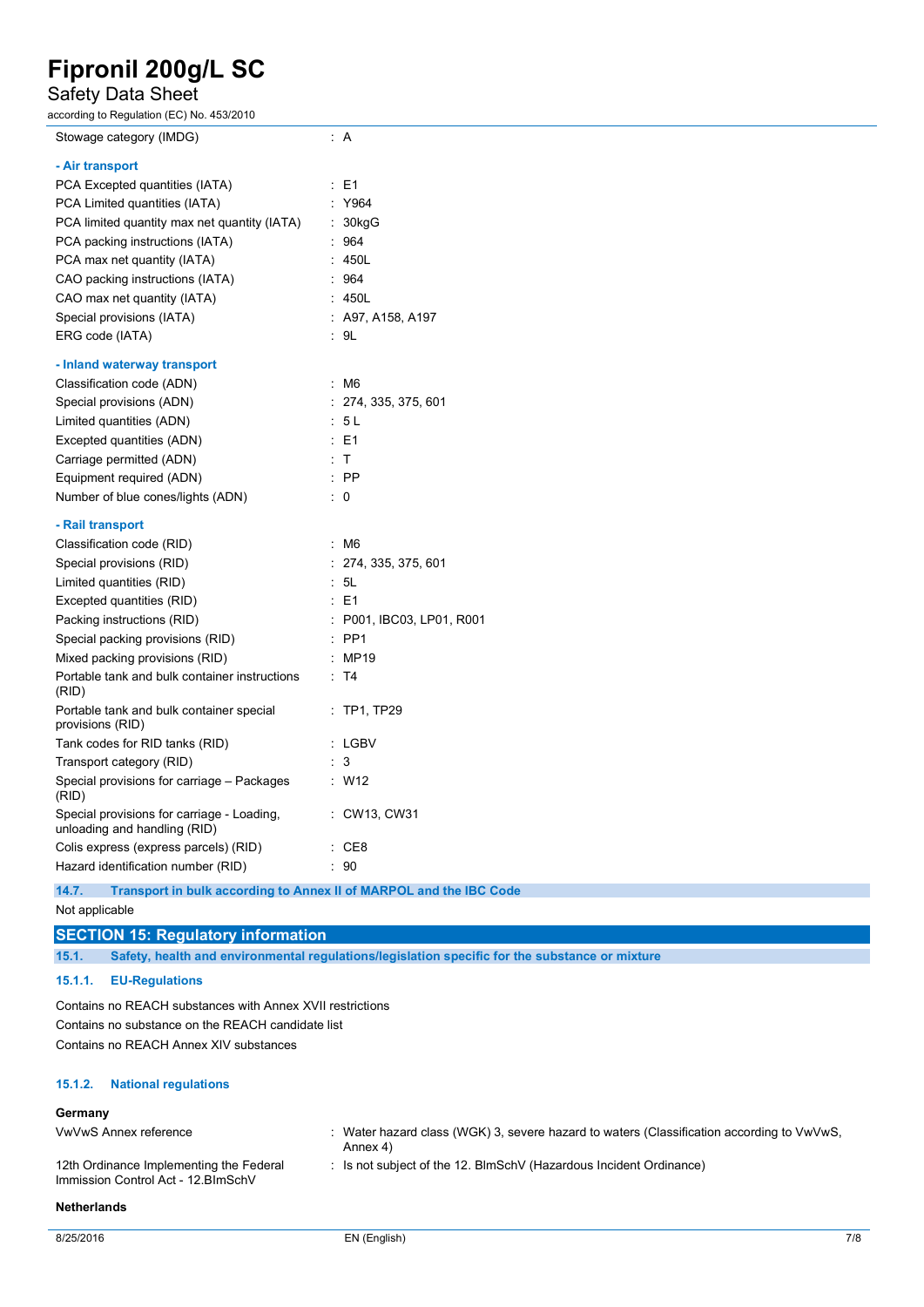## Safety Data Sheet

| according to Regulation (EC) No. 453/2010                                  |                           |
|----------------------------------------------------------------------------|---------------------------|
| Stowage category (IMDG)                                                    | A                         |
| - Air transport                                                            |                           |
| PCA Excepted quantities (IATA)                                             | $\therefore$ E1           |
| PCA Limited quantities (IATA)                                              | : Y964                    |
| PCA limited quantity max net quantity (IATA)                               | : 30kgG                   |
| PCA packing instructions (IATA)                                            | : 964                     |
| PCA max net quantity (IATA)                                                | : 450L                    |
| CAO packing instructions (IATA)                                            | : 964                     |
| CAO max net quantity (IATA)                                                | : 450L                    |
| Special provisions (IATA)                                                  | $:$ A97, A158, A197       |
| ERG code (IATA)                                                            | : 9L                      |
| - Inland waterway transport                                                |                           |
| Classification code (ADN)                                                  | $\cdot$ M6                |
| Special provisions (ADN)                                                   | : 274, 335, 375, 601      |
| Limited quantities (ADN)                                                   | : 5L                      |
| Excepted quantities (ADN)                                                  | : E1                      |
| Carriage permitted (ADN)                                                   | : T                       |
| Equipment required (ADN)                                                   | $:$ PP                    |
| Number of blue cones/lights (ADN)                                          | $\therefore$ 0            |
| - Rail transport                                                           |                           |
| Classification code (RID)                                                  | $\cdot$ M6                |
| Special provisions (RID)                                                   | : 274, 335, 375, 601      |
| Limited quantities (RID)                                                   | : 5L                      |
| Excepted quantities (RID)                                                  | $\pm$ E1                  |
| Packing instructions (RID)                                                 | : P001, IBC03, LP01, R001 |
| Special packing provisions (RID)                                           | $:$ PP1                   |
| Mixed packing provisions (RID)                                             | : MP19                    |
| Portable tank and bulk container instructions<br>(RID)                     | $\therefore$ T4           |
| Portable tank and bulk container special<br>provisions (RID)               | $:$ TP1, TP29             |
| Tank codes for RID tanks (RID)                                             | : LGBV                    |
| Transport category (RID)                                                   | : 3                       |
| Special provisions for carriage - Packages<br>(RID)                        | : W12                     |
| Special provisions for carriage - Loading,<br>unloading and handling (RID) | : CW13, CW31              |
| Colis express (express parcels) (RID)                                      | $\therefore$ CE8          |
| Hazard identification number (RID)                                         | : 90                      |
|                                                                            |                           |

## **14.7. Transport in bulk according to Annex II of MARPOL and the IBC Code**

Not applicable

## **SECTION 15: Regulatory information**

**15.1. Safety, health and environmental regulations/legislation specific for the substance or mixture**

### **15.1.1. EU-Regulations**

Contains no REACH substances with Annex XVII restrictions Contains no substance on the REACH candidate list Contains no REACH Annex XIV substances

### **15.1.2. National regulations**

### **Germany**

| _________                                                                      |                                                                                                          |
|--------------------------------------------------------------------------------|----------------------------------------------------------------------------------------------------------|
| VwVwS Annex reference                                                          | . Water hazard class (WGK) 3, severe hazard to waters (Classification according to $VwVws$ ,<br>Annex 4) |
| 12th Ordinance Implementing the Federal<br>Immission Control Act - 12. BlmSchV | $\therefore$ Is not subject of the 12. BImSchV (Hazardous Incident Ordinance)                            |

#### **Netherlands**